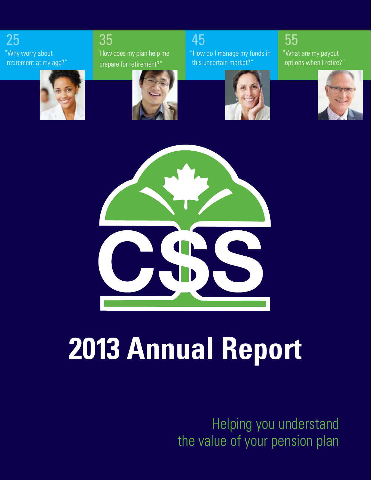25 "Why worry about retirement at my age?"

# 35

"How does my plan help me prepare for retirement?"

# 45

"How do I manage my funds in this uncertain market?"

"What are my payout options when I retire?"

55











# **2013 Annual Report**

Helping you understand the value of your pension plan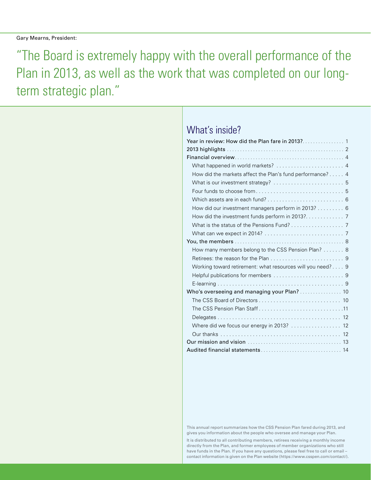"The Board is extremely happy with the overall performance of the Plan in 2013, as well as the work that was completed on our longterm strategic plan."

### What's inside?

| What happened in world markets?  4                         |
|------------------------------------------------------------|
| How did the markets affect the Plan's fund performance? 4  |
| What is our investment strategy?  5                        |
|                                                            |
|                                                            |
| How did our investment managers perform in 2013? 6         |
|                                                            |
| What is the status of the Pensions Fund? 7                 |
|                                                            |
|                                                            |
| How many members belong to the CSS Pension Plan? 8         |
|                                                            |
| Working toward retirement: what resources will you need? 9 |
|                                                            |
|                                                            |
| Who's overseeing and managing your Plan?  10               |
|                                                            |
| The CSS Pension Plan Staff11                               |
|                                                            |
|                                                            |
|                                                            |
|                                                            |
|                                                            |

This annual report summarizes how the CSS Pension Plan fared during 2013, and gives you information about the people who oversee and manage your Plan.

It is distributed to all contributing members, retirees receiving a monthly income directly from the Plan, and former employees of member organizations who still have funds in the Plan. If you have any questions, please feel free to call or email – contact information is given on the Plan website (https://www.csspen.com/contact/).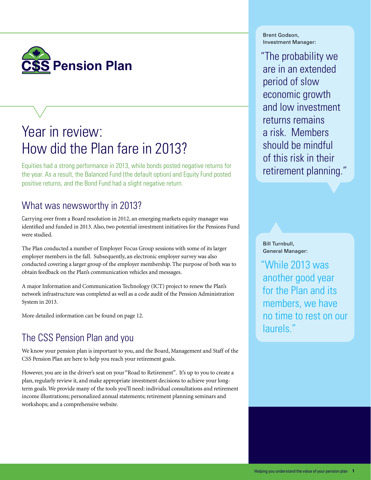

# Year in review: How did the Plan fare in 2013?

Equities had a strong performance in 2013, while bonds posted negative returns for the year. As a result, the Balanced Fund (the default option) and Equity Fund posted positive returns, and the Bond Fund had a slight negative return.

### What was newsworthy in 2013?

Carrying over from a Board resolution in 2012, an emerging markets equity manager was identified and funded in 2013. Also, two potential investment initiatives for the Pensions Fund were studied.

The Plan conducted a number of Employer Focus Group sessions with some of its larger employer members in the fall. Subsequently, an electronic employer survey was also conducted covering a larger group of the employer membership. The purpose of both was to obtain feedback on the Plan's communication vehicles and messages.

A major Information and Communication Technology (ICT) project to renew the Plan's network infrastructure was completed as well as a code audit of the Pension Administration System in 2013.

More detailed information can be found on page 12.

### The CSS Pension Plan and you

We know your pension plan is important to you, and the Board, Management and Staff of the CSS Pension Plan are here to help you reach your retirement goals.

However, you are in the driver's seat on your "Road to Retirement". It's up to you to create a plan, regularly review it, and make appropriate investment decisions to achieve your longterm goals. We provide many of the tools you'll need: individual consultations and retirement income illustrations; personalized annual statements; retirement planning seminars and workshops; and a comprehensive website.

Brent Godson, Investment Manager:

"The probability we are in an extended period of slow economic growth and low investment returns remains a risk. Members should be mindful of this risk in their retirement planning."

Bill Turnbull, General Manager:

"While 2013 was another good year for the Plan and its members, we have no time to rest on our laurels."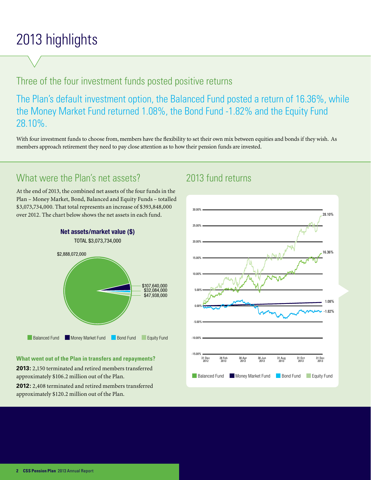# 2013 highlights

### Three of the four investment funds posted positive returns

The Plan's default investment option, the Balanced Fund posted a return of 16.36%, while the Money Market Fund returned 1.08%, the Bond Fund -1.82% and the Equity Fund 28.10%.

With four investment funds to choose from, members have the flexibility to set their own mix between equities and bonds if they wish. As members approach retirement they need to pay close attention as to how their pension funds are invested.

### What were the Plan's net assets?

At the end of 2013, the combined net assets of the four funds in the Plan – Money Market, Bond, Balanced and Equity Funds – totalled \$3,073,734,000. That total represents an increase of \$393,848,000 over 2012. The chart below shows the net assets in each fund.



#### **What went out of the Plan in transfers and repayments?**

**2013:** 2,150 terminated and retired members transferred approximately \$106.2 million out of the Plan.

**2012:** 2,408 terminated and retired members transferred approximately \$120.2 million out of the Plan.

### 2013 fund returns

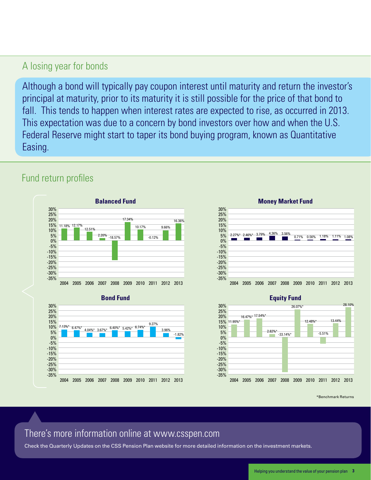### A losing year for bonds

Although a bond will typically pay coupon interest until maturity and return the investor's principal at maturity, prior to its maturity it is still possible for the price of that bond to fall. This tends to happen when interest rates are expected to rise, as occurred in 2013. This expectation was due to a concern by bond investors over how and when the U.S. Federal Reserve might start to taper its bond buying program, known as Quantitative Easing.

### Fund return profiles

-35%







**Equity Fund**



\*Benchmark Returns

### There's more information online at www.csspen.com

2004 2005 2006 2007 2008 2009 2010 2011 2012 2013

Check the Quarterly Updates on the CSS Pension Plan website for more detailed information on the investment markets.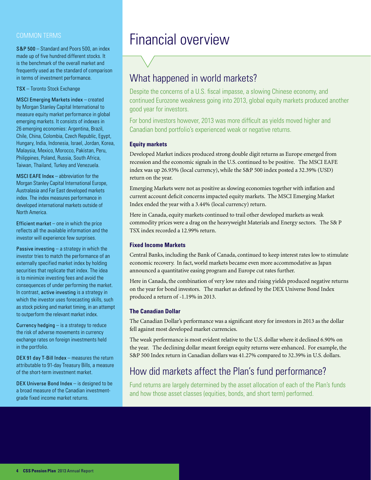#### COMMON TERMS

S&P 500 – Standard and Poors 500, an index made up of five hundred different stocks. It is the benchmark of the overall market and frequently used as the standard of comparison in terms of investment performance.

TSX – Toronto Stock Exchange

MSCI Emerging Markets index – created by Morgan Stanley Capital International to measure equity market performance in global emerging markets. It consists of indexes in 26 emerging economies: Argentina, Brazil, Chile, China, Colombia, Czech Republic, Egypt, Hungary, India, Indonesia, Israel, Jordan, Korea, Malaysia, Mexico, Morocco, Pakistan, Peru, Philippines, Poland, Russia, South Africa, Taiwan, Thailand, Turkey and Venezuela.

MSCI EAFE Index – abbreviation for the Morgan Stanley Capital International Europe, Australasia and Far East developed markets index. The index measures performance in developed international markets outside of North America.

Efficient market  $-$  one in which the price reflects all the available information and the investor will experience few surprises.

**Passive investing**  $-$  a strategy in which the investor tries to match the performance of an externally specified market index by holding securities that replicate that index. The idea is to minimize investing fees and avoid the consequences of under performing the market. In contrast, active investing is a strategy in which the investor uses forecasting skills, such as stock picking and market timing, in an attempt to outperform the relevant market index.

Currency hedging – is a strategy to reduce the risk of adverse movements in currency exchange rates on foreign investments held in the portfolio.

DEX 91 day T-Bill Index – measures the return attributable to 91-day Treasury Bills, a measure of the short-term investment market.

DEX Universe Bond Index – is designed to be a broad measure of the Canadian investmentgrade fixed income market returns.

# Financial overview

### What happened in world markets?

Despite the concerns of a U.S. fiscal impasse, a slowing Chinese economy, and continued Eurozone weakness going into 2013, global equity markets produced another good year for investors.

For bond investors however, 2013 was more difficult as yields moved higher and Canadian bond portfolio's experienced weak or negative returns.

#### **Equity markets**

Developed Market indices produced strong double digit returns as Europe emerged from recession and the economic signals in the U.S. continued to be positive. The MSCI EAFE index was up 26.93% (local currency), while the S&P 500 index posted a 32.39% (USD) return on the year.

Emerging Markets were not as positive as slowing economies together with inflation and current account deficit concerns impacted equity markets. The MSCI Emerging Market Index ended the year with a 3.44% (local currency) return.

Here in Canada, equity markets continued to trail other developed markets as weak commodity prices were a drag on the heavyweight Materials and Energy sectors. The S& P TSX index recorded a 12.99% return.

#### **Fixed Income Markets**

Central Banks, including the Bank of Canada, continued to keep interest rates low to stimulate economic recovery. In fact, world markets became even more accommodative as Japan announced a quantitative easing program and Europe cut rates further.

Here in Canada, the combination of very low rates and rising yields produced negative returns on the year for bond investors. The market as defined by the DEX Universe Bond Index produced a return of -1.19% in 2013.

#### **The Canadian Dollar**

The Canadian Dollar's performance was a significant story for investors in 2013 as the dollar fell against most developed market currencies.

The weak performance is most evident relative to the U.S. dollar where it declined 6.90% on the year. The declining dollar meant foreign equity returns were enhanced. For example, the S&P 500 Index return in Canadian dollars was 41.27% compared to 32.39% in U.S. dollars.

### How did markets affect the Plan's fund performance?

Fund returns are largely determined by the asset allocation of each of the Plan's funds and how those asset classes (equities, bonds, and short term) performed.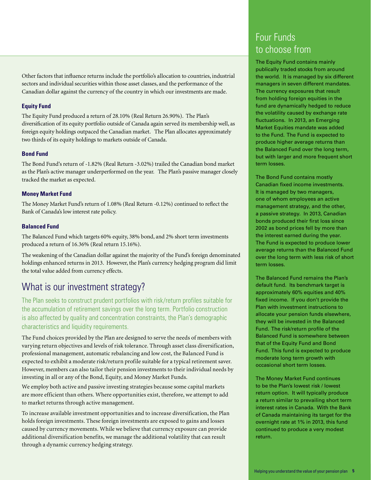Other factors that influence returns include the portfolio's allocation to countries, industrial sectors and individual securities within those asset classes, and the performance of the Canadian dollar against the currency of the country in which our investments are made.

#### **Equity Fund**

The Equity Fund produced a return of 28.10% (Real Return 26.90%). The Plan's diversification of its equity portfolio outside of Canada again served its membership well, as foreign equity holdings outpaced the Canadian market. The Plan allocates approximately two thirds of its equity holdings to markets outside of Canada.

#### **Bond Fund**

The Bond Fund's return of -1.82% (Real Return -3.02%) trailed the Canadian bond market as the Plan's active manager underperformed on the year. The Plan's passive manager closely tracked the market as expected.

#### **Money Market Fund**

The Money Market Fund's return of 1.08% (Real Return -0.12%) continued to reflect the Bank of Canada's low interest rate policy.

#### **Balanced Fund**

The Balanced Fund which targets 60% equity, 38% bond, and 2% short term investments produced a return of 16.36% (Real return 15.16%).

The weakening of the Canadian dollar against the majority of the Fund's foreign denominated holdings enhanced returns in 2013. However, the Plan's currency hedging program did limit the total value added from currency effects.

### What is our investment strategy?

The Plan seeks to construct prudent portfolios with risk/return profiles suitable for the accumulation of retirement savings over the long term. Portfolio construction is also affected by quality and concentration constraints, the Plan's demographic characteristics and liquidity requirements.

The Fund choices provided by the Plan are designed to serve the needs of members with varying return objectives and levels of risk tolerance. Through asset class diversification, professional management, automatic rebalancing and low cost, the Balanced Fund is expected to exhibit a moderate risk/return profile suitable for a typical retirement saver. However, members can also tailor their pension investments to their individual needs by investing in all or any of the Bond, Equity, and Money Market Funds.

We employ both active and passive investing strategies because some capital markets are more efficient than others. Where opportunities exist, therefore, we attempt to add to market returns through active management.

To increase available investment opportunities and to increase diversification, the Plan holds foreign investments. These foreign investments are exposed to gains and losses caused by currency movements. While we believe that currency exposure can provide additional diversification benefits, we manage the additional volatility that can result through a dynamic currency hedging strategy.

### Four Funds to choose from

The Equity Fund contains mainly publically traded stocks from around the world. It is managed by six different managers in seven different mandates. The currency exposures that result from holding foreign equities in the fund are dynamically hedged to reduce the volatility caused by exchange rate fluctuations. In 2013, an Emerging Market Equities mandate was added to the Fund. The Fund is expected to produce higher average returns than the Balanced Fund over the long term, but with larger and more frequent short term losses.

The Bond Fund contains mostly Canadian fixed income investments. It is managed by two managers, one of whom employees an active management strategy, and the other, a passive strategy. In 2013, Canadian bonds produced their first loss since 2002 as bond prices fell by more than the interest earned during the year. The Fund is expected to produce lower average returns than the Balanced Fund over the long term with less risk of short term losses.

The Balanced Fund remains the Plan's default fund. Its benchmark target is approximately 60% equities and 40% fixed income. If you don't provide the Plan with investment instructions to allocate your pension funds elsewhere, they will be invested in the Balanced Fund. The risk/return profile of the Balanced Fund is somewhere between that of the Equity Fund and Bond Fund. This fund is expected to produce moderate long term growth with occasional short term losses.

The Money Market Fund continues to be the Plan's lowest risk / lowest return option. It will typically produce a return similar to prevailing short term interest rates in Canada. With the Bank of Canada maintaining its target for the overnight rate at 1% in 2013, this fund continued to produce a very modest return.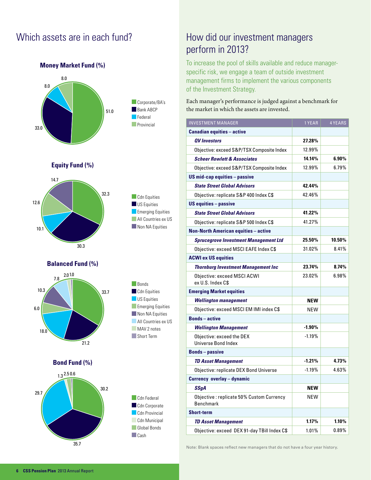### Which assets are in each fund?



### How did our investment managers perform in 2013?

To increase the pool of skills available and reduce managerspecific risk, we engage a team of outside investment management firms to implement the various components of the Investment Strategy.

Each manager's performance is judged against a benchmark for the market in which the assets are invested.

| <b>INVESTMENT MANAGER</b>                                    | 1 YEAR     | <b>4 YEARS</b> |
|--------------------------------------------------------------|------------|----------------|
| <b>Canadian equities - active</b>                            |            |                |
| QV Investors                                                 | 27.28%     |                |
| Objective: exceed S&P/TSX Composite Index                    | 12.99%     |                |
| <b>Scheer Rowlett &amp; Associates</b>                       | 14.14%     | $6.90\%$       |
| Objective: exceed S&P/TSX Composite Index                    | 12.99%     | 6.79%          |
| <b>US mid-cap equities - passive</b>                         |            |                |
| <b>State Street Global Advisors</b>                          | 42.44%     |                |
| Objective: replicate S&P 400 Index C\$                       | 42.46%     |                |
| <b>US equities - passive</b>                                 |            |                |
| <b>State Street Global Advisors</b>                          | 41.22%     |                |
| Objective: replicate S&P 500 Index C\$                       | 41.27%     |                |
| <b>Non-North American equities - active</b>                  |            |                |
| <b>Sprucegrove Investment Management Ltd</b>                 | 25.50%     | 10.50%         |
| Objective: exceed MSCI EAFE Index C\$                        | 31.02%     | 8.41%          |
| <b>ACWI ex US equities</b>                                   |            |                |
| <b>Thornburg Investment Management Inc.</b>                  | 23.74%     | 8.74%          |
| Objective: exceed MSCI ACWI<br>ex U.S. Index C\$             | 23.02%     | $6.98\%$       |
| <b>Emerging Market equities</b>                              |            |                |
| <b>Wellington management</b>                                 | NEW        |                |
| Objective: exceed MSCI EM IMI index C\$                      | <b>NEW</b> |                |
| <b>Bonds-active</b>                                          |            |                |
| <b>Wellington Management</b>                                 | -1.90%     |                |
| Objective: exceed the DEX<br><b>Universe Bond Index</b>      | $-1.19%$   |                |
| <b>Bonds-passive</b>                                         |            |                |
| <b>TD Asset Management</b>                                   | $-1.21%$   | 4.73%          |
| Objective: replicate DEX Bond Universe                       | $-1.19%$   | 4.63%          |
| <b>Currency overlay - dynamic</b>                            |            |                |
| SSqA                                                         | <b>NEW</b> |                |
| Objective: replicate 50% Custom Currency<br><b>Benchmark</b> | <b>NEW</b> |                |
| <b>Short-term</b>                                            |            |                |
| <b>TD Asset Management</b>                                   | 1.17%      | 1.10%          |
| Objective: exceed DEX 91-day TBill Index C\$                 | 1.01%      | $0.89\%$       |

Note: Blank spaces reflect new managers that do not have a four year history.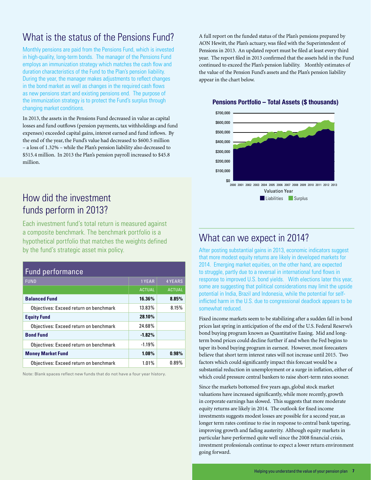### What is the status of the Pensions Fund?

Monthly pensions are paid from the Pensions Fund, which is invested in high-quality, long-term bonds. The manager of the Pensions Fund employs an immunization strategy which matches the cash flow and duration characteristics of the Fund to the Plan's pension liability. During the year, the manager makes adjustments to reflect changes in the bond market as well as changes in the required cash flows as new pensions start and existing pensions end. The purpose of the immunization strategy is to protect the Fund's surplus through changing market conditions.

In 2013, the assets in the Pensions Fund decreased in value as capital losses and fund outflows (pension payments, tax withholdings and fund expenses) exceeded capital gains, interest earned and fund inflows. By the end of the year, the Fund's value had decreased to \$600.5 million – a loss of 1.32% – while the Plan's pension liability also decreased to \$515.4 million. In 2013 the Plan's pension payroll increased to \$45.8 million.

### How did the investment funds perform in 2013?

Each investment fund's total return is measured against a composite benchmark. The benchmark portfolio is a hypothetical portfolio that matches the weights defined by the fund's strategic asset mix policy.

| Fund performance                       |               |                |  |
|----------------------------------------|---------------|----------------|--|
| <b>FUND</b>                            | 1 YEAR        | <b>4 YEARS</b> |  |
|                                        | <b>ACTUAL</b> | <b>ACTUAL</b>  |  |
| <b>Balanced Fund</b>                   | 16.36%        | 8.85%          |  |
| Objectives: Exceed return on benchmark | 13.83%        | 8.15%          |  |
| <b>Equity Fund</b>                     | 28.10%        |                |  |
| Objectives: Exceed return on benchmark | 24.68%        |                |  |
| <b>Bond Fund</b>                       | $-1.82%$      |                |  |
| Objectives: Exceed return on benchmark | $-1.19%$      |                |  |
| <b>Money Market Fund</b>               | 1.08%         | 0.98%          |  |
| Objectives: Exceed return on benchmark | 1.01%         | 0.89%          |  |

Note: Blank spaces reflect new funds that do not have a four year history.

A full report on the funded status of the Plan's pensions prepared by AON Hewitt, the Plan's actuary, was filed with the Superintendent of Pensions in 2013. An updated report must be filed at least every third year. The report filed in 2013 confirmed that the assets held in the Fund continued to exceed the Plan's pension liability. Monthly estimates of the value of the Pension Fund's assets and the Plan's pension liability appear in the chart below.

#### **Pensions Portfolio – Total Assets (\$ thousands)**



### What can we expect in 2014?

After posting substantial gains in 2013, economic indicators suggest that more modest equity returns are likely in developed markets for 2014. Emerging market equities, on the other hand, are expected to struggle, partly due to a reversal in international fund flows in response to improved U.S. bond yields. With elections later this year, some are suggesting that political considerations may limit the upside potential in India, Brazil and Indonesia, while the potential for selfinflicted harm in the U.S. due to congressional deadlock appears to be somewhat reduced.

Fixed income markets seem to be stabilizing after a sudden fall in bond prices last spring in anticipation of the end of the U.S. Federal Reserve's bond buying program known as Quantitative Easing. Mid and longterm bond prices could decline further if and when the Fed begins to taper its bond buying program in earnest. However, most forecasters believe that short term interest rates will not increase until 2015. Two factors which could significantly impact this forecast would be a substantial reduction in unemployment or a surge in inflation, either of which could pressure central bankers to raise short-term rates sooner.

Since the markets bottomed five years ago, global stock market valuations have increased significantly, while more recently, growth in corporate earnings has slowed. This suggests that more moderate equity returns are likely in 2014. The outlook for fixed income investments suggests modest losses are possible for a second year, as longer term rates continue to rise in response to central bank tapering, improving growth and fading austerity. Although equity markets in particular have performed quite well since the 2008 financial crisis, investment professionals continue to expect a lower return environment going forward.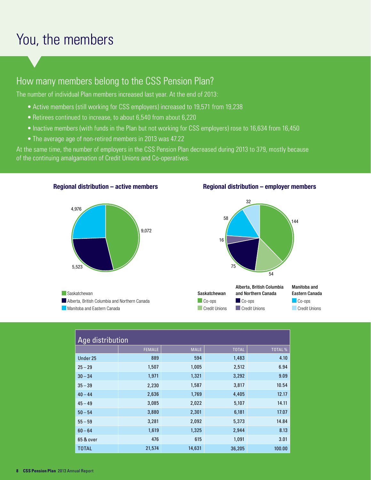# You, the members

### How many members belong to the CSS Pension Plan?

The number of individual Plan members increased last year. At the end of 2013:

- Active members (still working for CSS employers) increased to 19,571 from 19,238
- Retirees continued to increase, to about 6,540 from about 6,220
- Inactive members (with funds in the Plan but not working for CSS employers) rose to 16,634 from 16,450
- The average age of non-retired members in 2013 was 47.22

**Regional distribution – active members** 

At the same time, the number of employers in the CSS Pension Plan decreased during 2013 to 379, mostly because of the continuing amalgamation of Credit Unions and Co-operatives.



#### **Regional distribution – employer members**



**Saskatchewan** Alberta, British Columbia and Northern Canada Manitoba and Eastern Canada



| Age distribution |               |             |              |        |
|------------------|---------------|-------------|--------------|--------|
|                  | <b>FEMALE</b> | <b>MALE</b> | <b>TOTAL</b> | TOTAL% |
| Under 25         | 889           | 594         | 1,483        | 4.10   |
| $25 - 29$        | 1,507         | 1,005       | 2,512        | 6.94   |
| $30 - 34$        | 1,971         | 1,321       | 3,292        | 9.09   |
| $35 - 39$        | 2,230         | 1,587       | 3,817        | 10.54  |
| $40 - 44$        | 2,636         | 1,769       | 4,405        | 12.17  |
| 15.10            | <b>2 UBL</b>  | າດາາ        | 5.107        | 1111   |

| $2J - 2J$    | 1,001  | 1,00J  | 1.011  | ∪.∪⊤   |
|--------------|--------|--------|--------|--------|
| $30 - 34$    | 1,971  | 1,321  | 3,292  | 9.09   |
| $35 - 39$    | 2,230  | 1,587  | 3,817  | 10.54  |
| $40 - 44$    | 2,636  | 1,769  | 4,405  | 12.17  |
| $45 - 49$    | 3,085  | 2,022  | 5,107  | 14.11  |
| $50 - 54$    | 3,880  | 2,301  | 6,181  | 17.07  |
| $55 - 59$    | 3,281  | 2,092  | 5,373  | 14.84  |
| $60 - 64$    | 1,619  | 1,325  | 2,944  | 8.13   |
| 65 & over    | 476    | 615    | 1,091  | 3.01   |
| <b>TOTAL</b> | 21,574 | 14,631 | 36,205 | 100.00 |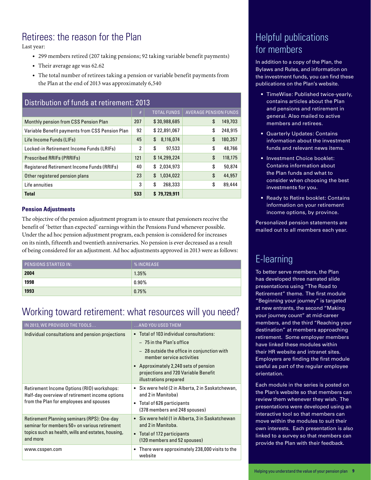### Retirees: the reason for the Plan

Last year:

- 299 members retired (207 taking pensions; 92 taking variable benefit payments)
- Their average age was 62.62
- The total number of retirees taking a pension or variable benefit payments from the Plan at the end of 2013 was approximately 6,540

| Distribution of funds at retirement: 2013       |                |                    |                              |  |  |
|-------------------------------------------------|----------------|--------------------|------------------------------|--|--|
|                                                 | #              | <b>TOTAL FUNDS</b> | <b>AVERAGE PENSION FUNDS</b> |  |  |
| <b>Monthly pension from CSS Pension Plan</b>    | 207            | \$30,988,685       | \$<br>149,703                |  |  |
| Variable Benefit payments from CSS Pension Plan | 92             | \$22,891,067       | \$<br>248,915                |  |  |
| Life Income Funds (LIFs)                        | 45             | \$<br>8,116,074    | \$<br>180,357                |  |  |
| Locked-in Retirement Income Funds (LRIFs)       | $\overline{2}$ | \$<br>97,533       | \$<br>48,766                 |  |  |
| <b>Prescribed RRIFs (PRRIFs)</b>                | 121            | \$14,299,224       | \$<br>118,175                |  |  |
| Registered Retirement Income Funds (RRIFs)      | 40             | \$<br>2,034,973    | \$<br>50,874                 |  |  |
| Other registered pension plans                  | 23             | \$<br>1,034,022    | \$<br>44,957                 |  |  |
| Life annuities                                  | 3              | \$<br>268,333      | \$<br>89,444                 |  |  |
| <b>Total</b>                                    | 533            | \$79.729.911       |                              |  |  |

#### **Pension Adjustments**

The objective of the pension adjustment program is to ensure that pensioners receive the benefit of 'better than expected' earnings within the Pensions Fund whenever possible. Under the ad hoc pension adjustment program, each pension is considered for increases on its ninth, fifteenth and twentieth anniversaries. No pension is ever decreased as a result of being considered for an adjustment. Ad hoc adjustments approved in 2013 were as follows:

| <b>PENSIONS STARTED IN:</b> | <b>%INCREASE</b> |
|-----------------------------|------------------|
| 2004                        | 1.35%            |
| 1998                        | $0.90\%$         |
| 1993                        | 0.75%            |

### Working toward retirement: what resources will you need?

| IN 2013, WE PROVIDED THE TOOLS                                                                                                          | AND YOU USED THEM                                                                                       |
|-----------------------------------------------------------------------------------------------------------------------------------------|---------------------------------------------------------------------------------------------------------|
| Individual consultations and pension projections                                                                                        | Total of 103 individual consultations:                                                                  |
|                                                                                                                                         | - 75 in the Plan's office                                                                               |
|                                                                                                                                         | - 28 outside the office in conjunction with<br>member service activities                                |
|                                                                                                                                         | • Approximately 2,240 sets of pension<br>projections and 720 Variable Benefit<br>illustrations prepared |
| Retirement Income Options (RIO) workshops:<br>Half-day overview of retirement income options<br>from the Plan for employees and spouses | Six were held (2 in Alberta, 2 in Saskatchewan,<br>$\bullet$<br>and 2 in Manitoba)                      |
|                                                                                                                                         | • Total of 626 participants<br>(378 members and 248 spouses)                                            |
| Retirement Planning seminars (RPS): One-day<br>seminar for members 50+ on various retirement                                            | • Six were held (1 in Alberta, 3 in Saskatchewan<br>and 2 in Manitoba.                                  |
| topics such as health, wills and estates, housing,<br>and more                                                                          | • Total of 172 participants<br>(120 members and 52 spouses)                                             |
| www.csspen.com                                                                                                                          | There were approximately 238,000 visits to the<br>website                                               |

### Helpful publications for members

In addition to a copy of the Plan, the Bylaws and Rules, and information on the investment funds, you can find these publications on the Plan's website.

- TimeWise: Published twice-yearly, contains articles about the Plan and pensions and retirement in general. Also mailed to active members and retirees.
- Quarterly Updates: Contains information about the investment funds and relevant news items.
- Investment Choice booklet: Contains information about the Plan funds and what to consider when choosing the best investments for you.
- Ready to Retire booklet: Contains information on your retirement income options, by province.

Personalized pension statements are mailed out to all members each year.

### E-learning

To better serve members, the Plan has developed three narrated slide presentations using "The Road to Retirement" theme. The first module "Beginning your journey" is targeted at new entrants, the second "Making your journey count" at mid-career members, and the third "Reaching your destination" at members approaching retirement. Some employer members have linked these modules within their HR website and intranet sites. Employers are finding the first module useful as part of the regular employee orientation.

Each module in the series is posted on the Plan's website so that members can review them whenever they wish. The presentations were developed using an interactive tool so that members can move within the modules to suit their own interests. Each presentation is also linked to a survey so that members can provide the Plan with their feedback.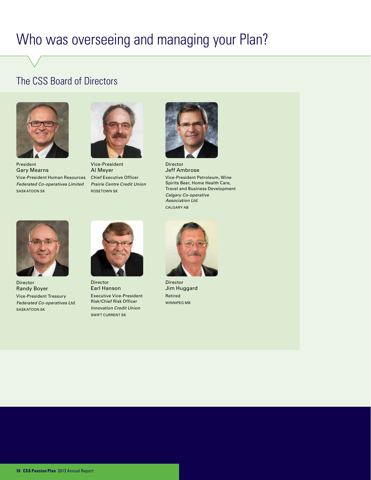# Who was overseeing and managing your Plan?

### The CSS Board of Directors



President Gary Mearns Vice-President Human Resources *Federated Co-operatives Limited* SASKATOON SK



Vice-President Al Meyer Chief Executive Officer *Prairie Centre Credit Union* ROSETOWN SK



Director Jeff Ambrose Vice-President Petroleum, Wine Spirits Beer, Home Health Care, Travel and Business Development

*Calgary Co-operative Association Ltd.* CALGARY AB



Director Randy Boyer Vice-President Treasury *Federated Co-operatives Ltd.* SASKATOON SK



Director Earl Hanson Executive Vice-President Risk/Chief Risk Officer *Innovation Credit Union* SWIFT CURRENT SK



Director Jim Huggard Retired WINNIPEG MB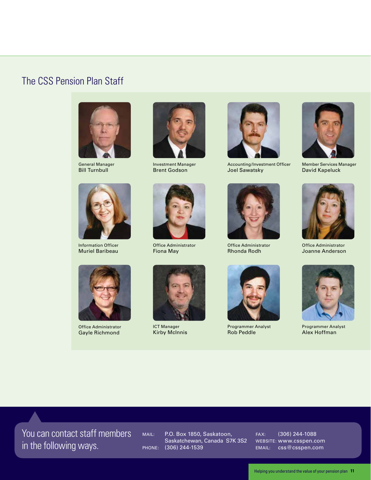### The CSS Pension Plan Staff



General Manager Bill Turnbull



Information Officer Muriel Baribeau



Office Administrator Gayle Richmond



Investment Manager Brent Godson



Office Administrator Fiona May



ICT Manager Kirby McInnis



Accounting/Investment Officer Joel Sawatsky



Office Administrator Rhonda Rodh



Programmer Analyst Rob Peddle



Member Services Manager David Kapeluck



Office Administrator Joanne Anderson



Programmer Analyst Alex Hoffman

You can contact staff members in the following ways.

MAIL: P.O. Box 1850, Saskatoon, Saskatchewan, Canada S7K 3S2 PHONE: (306) 244-1539

FAX: (306) 244-1088 WEBSITE: www.csspen.com EMAIL: css@csspen.com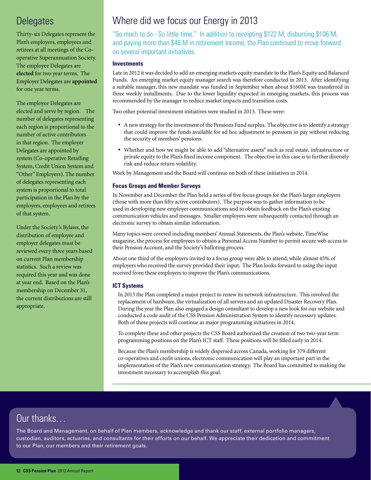### **Delegates**

Thirty-six Delegates represent the Plan's employers, employees and retirees at all meetings of the Cooperative Superannuation Society. The employee Delegates are elected for two year terms. The Employer Delegates are appointed for one year terms.

The employee Delegates are elected and serve by region. The number of delegates representing each region is proportional to the number of active contributors in that region. The employer Delegates are appointed by system (Co-operative Retailing System, Credit Union System and "Other" Employers). The number of delegates representing each system is proportional to total participation in the Plan by the employers, employees and retirees of that system.

Under the Society's Bylaws, the distribution of employee and employer delegates must be reviewed every three years based on current Plan membership statistics. Such a review was required this year and was done at year end. Based on the Plan's membership on December 31, the current distributions are still appropriate.

### Where did we focus our Energy in 2013

"So much to do - So little time." In addition to receipting \$122 M, disbursing \$106 M, and paying more than \$46 M in retirement income, the Plan continued to move forward on several important initiatives.

#### **Investments**

Late in 2012 it was decided to add an emerging markets equity mandate to the Plan's Equity and Balanced Funds. An emerging market equity manager search was therefore conducted in 2013. After identifying a suitable manager, this new mandate was funded in September when about \$160M was transferred in three weekly installments. Due to the lower liquidity expected in emerging markets, this process was recommended by the manager to reduce market impacts and transition costs.

Two other potential investment initiatives were studied in 2013. These were:

- · A new strategy for the investment of the Pensions Fund surplus. The objective is to identify a strategy that could improve the funds available for ad hoc adjustment to pensions in pay without reducing the security of members' pensions.
- · Whether and how we might be able to add "alternative assets" such as real estate, infrastructure or private equity to the Plan's fixed income component. The objective in this case is to further diversify risk and reduce return volatility.

Work by Management and the Board will continue on both of these initiatives in 2014.

#### **Focus Groups and Member Surveys**

In November and December the Plan held a series of five focus groups for the Plan's larger employers (those with more than fifty active contributors). The purpose was to gather information to be used in developing new employer communications and to obtain feedback on the Plan's existing communication vehicles and messages. Smaller employers were subsequently contacted through an electronic survey to obtain similar information.

Many topics were covered including members' Annual Statements, the Plan's website, TimeWise magazine, the process for employees to obtain a Personal Access Number to permit secure web access to their Pension Account, and the Society's balloting process.

About one third of the employers invited to a focus group were able to attend, while almost 45% of employers who received the survey provided their input. The Plan looks forward to using the input received from these employers to improve the Plan's communications.

#### **ICT Systems**

In 2013 the Plan completed a major project to renew its network infrastructure. This involved the replacement of hardware, the virtualization of all servers and an updated Disaster Recovery Plan. During the year the Plan also engaged a design consultant to develop a new look for our website and conducted a code audit of the CSS Pension Administration System to identify necessary updates. Both of these projects will continue as major programming initiatives in 2014.

To complete these and other projects the CSS Board authorized the creation of two two-year term programming positions on the Plan's ICT staff. These positions will be filled early in 2014.

Because the Plan's membership is widely dispersed across Canada, working for 379 different co-operatives and credit unions, electronic communication will play an important part in the implementation of the Plan's new communication strategy. The Board has committed to making the investment necessary to accomplish this goal.

### Our thanks…

The Board and Management, on behalf of Plan members, acknowledge and thank our staff, external portfolio managers, custodian, auditors, actuaries, and consultants for their efforts on our behalf. We appreciate their dedication and commitment to our Plan, our members and their retirement goals.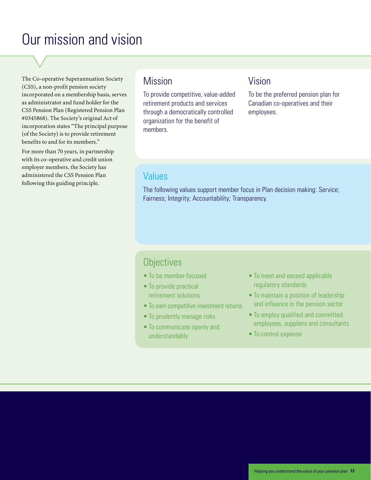# Our mission and vision

The Co-operative Superannuation Society (CSS), a non-profit pension society incorporated on a membership basis, serves as administrator and fund holder for the CSS Pension Plan (Registered Pension Plan #0345868). The Society's original Act of incorporation states "The principal purpose (of the Society) is to provide retirement benefits to and for its members."

For more than 70 years, in partnership with its co-operative and credit union employer members, the Society has administered the CSS Pension Plan following this guiding principle.

### **Mission**

To provide competitive, value-added retirement products and services through a democratically controlled organization for the benefit of members.

### Vision

To be the preferred pension plan for Canadian co-operatives and their employees.

### Values

The following values support member focus in Plan decision making: Service; Fairness; Integrity; Accountability; Transparency.

### **Objectives**

- To be member-focused
- To provide practical retirement solutions
- To earn competitive investment returns
- To prudently manage risks
- To communicate openly and understandably
- To meet and exceed applicable regulatory standards
- To maintain a position of leadership and influence in the pension sector
- To employ qualified and committed employees, suppliers and consultants
- To control expense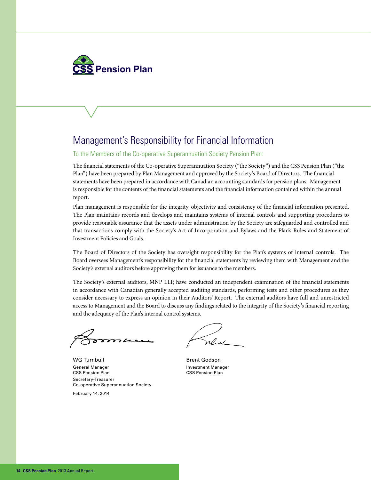

### Management's Responsibility for Financial Information

To the Members of the Co-operative Superannuation Society Pension Plan:

The financial statements of the Co-operative Superannuation Society ("the Society") and the CSS Pension Plan ("the Plan") have been prepared by Plan Management and approved by the Society's Board of Directors. The financial statements have been prepared in accordance with Canadian accounting standards for pension plans. Management is responsible for the contents of the financial statements and the financial information contained within the annual report.

Plan management is responsible for the integrity, objectivity and consistency of the financial information presented. The Plan maintains records and develops and maintains systems of internal controls and supporting procedures to provide reasonable assurance that the assets under administration by the Society are safeguarded and controlled and that transactions comply with the Society's Act of Incorporation and Bylaws and the Plan's Rules and Statement of Investment Policies and Goals.

The Board of Directors of the Society has oversight responsibility for the Plan's systems of internal controls. The Board oversees Management's responsibility for the financial statements by reviewing them with Management and the Society's external auditors before approving them for issuance to the members.

The Society's external auditors, MNP LLP, have conducted an independent examination of the financial statements in accordance with Canadian generally accepted auditing standards, performing tests and other procedures as they consider necessary to express an opinion in their Auditors' Report. The external auditors have full and unrestricted access to Management and the Board to discuss any findings related to the integrity of the Society's financial reporting and the adequacy of the Plan's internal control systems.

WG Turnbull and Brent Godson General Manager **Investment Manager** Investment Manager CSS Pension Plan CSS Pension Plan Secretary-Treasurer Co-operative Superannuation Society

February 14, 2014

Word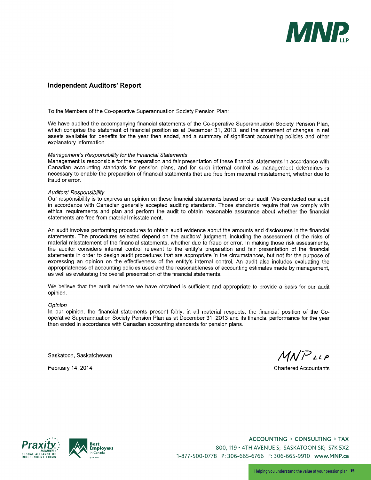

#### **Independent Auditors' Report**

To the Members of the Co-operative Superannuation Society Pension Plan:

We have audited the accompanying financial statements of the Co-operative Superannuation Society Pension Plan, which comprise the statement of financial position as at December 31, 2013, and the statement of changes in net assets available for benefits for the year then ended, and a summary of significant accounting policies and other explanatory information.

#### Management's Responsibility for the Financial Statements

Management is responsible for the preparation and fair presentation of these financial statements in accordance with Canadian accounting standards for pension plans, and for such internal control as management determines is necessary to enable the preparation of financial statements that are free from material misstatement, whether due to fraud or error.

#### Auditors' Responsibility

Our responsibility is to express an opinion on these financial statements based on our audit. We conducted our audit in accordance with Canadian generally accepted auditing standards. Those standards require that we comply with ethical requirements and plan and perform the audit to obtain reasonable assurance about whether the financial statements are free from material misstatement.

An audit involves performing procedures to obtain audit evidence about the amounts and disclosures in the financial statements. The procedures selected depend on the auditors' judgment, including the assessment of the risks of material misstatement of the financial statements, whether due to fraud or error. In making those risk assessments, the auditor considers internal control relevant to the entity's preparation and fair presentation of the financial statements in order to design audit procedures that are appropriate in the circumstances, but not for the purpose of expressing an opinion on the effectiveness of the entity's internal control. An audit also includes evaluating the appropriateness of accounting policies used and the reasonableness of accounting estimates made by management, as well as evaluating the overall presentation of the financial statements.

We believe that the audit evidence we have obtained is sufficient and appropriate to provide a basis for our audit opinion.

#### Opinion

In our opinion, the financial statements present fairly, in all material respects, the financial position of the Cooperative Superannuation Society Pension Plan as at December 31, 2013 and its financial performance for the year then ended in accordance with Canadian accounting standards for pension plans.

Saskatoon, Saskatchewan

February 14, 2014

 $MNP$ LLP

**Chartered Accountants** 





**Accounting › consulting › tAx** 800, 119 - 4th aVenue S; SaSkatoon Sk; S7k 5X2 1-877-500-0778 P: 306-665-6766 F: 306-665-9910 **www.MnP.ca**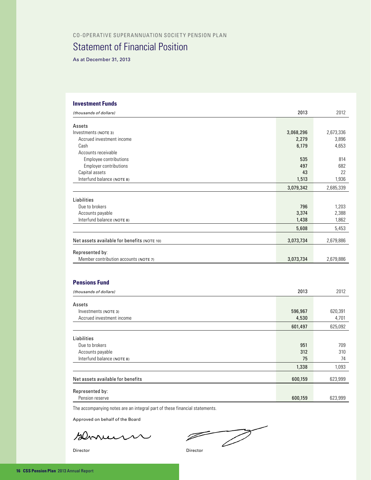#### CO-OPERATIVE SUPERANNUATION SOCIETY PENSION PLAN

### Statement of Financial Position

As at December 31, 2013

#### **Investment Funds**

| (thousands of dollars)                      | 2013      | 2012      |
|---------------------------------------------|-----------|-----------|
| Assets                                      |           |           |
| Investments (NOTE 3)                        | 3,068,296 | 2,673,336 |
| Accrued investment income                   | 2,279     | 3,896     |
| Cash                                        | 6,179     | 4,653     |
| Accounts receivable                         |           |           |
| Employee contributions                      | 535       | 814       |
| <b>Employer contributions</b>               | 497       | 682       |
| Capital assets                              | 43        | 22        |
| Interfund balance (NOTE 8)                  | 1,513     | 1,936     |
|                                             | 3,079,342 | 2,685,339 |
| Liabilities                                 |           |           |
| Due to brokers                              | 796       | 1,203     |
| Accounts payable                            | 3,374     | 2,388     |
| Interfund balance (NOTE 8)                  | 1,438     | 1,862     |
|                                             | 5,608     | 5,453     |
| Net assets available for benefits (NOTE 10) | 3,073,734 | 2,679,886 |
| Represented by:                             |           |           |
| Member contribution accounts (NOTE 7)       | 3,073,734 | 2,679,886 |
| <b>Pensions Fund</b>                        |           |           |
|                                             |           |           |
| (thousands of dollars)                      | 2013      | 2012      |
| Assets                                      |           |           |
| Investments (NOTE 3)                        | 596,967   | 620,391   |
| Accrued investment income                   | 4,530     | 4,701     |
|                                             | 601,497   | 625,092   |
| Liabilities                                 |           |           |

| Liabilities                        |         |         |
|------------------------------------|---------|---------|
| Due to brokers                     | 951     | 709     |
| Accounts payable                   | 312     | 310     |
| Interfund balance (NOTE 8)         | 75      | 74      |
|                                    | 1,338   | 1,093   |
| Net assets available for benefits  | 600,159 | 623,999 |
| Represented by:<br>Pension reserve | 600,159 | 623,999 |

The accompanying notes are an integral part of these financial statements.

Approved on behalf of the Board

sernum

Director Director

 $\overrightarrow{a}$  $\overline{\mathscr{P}}$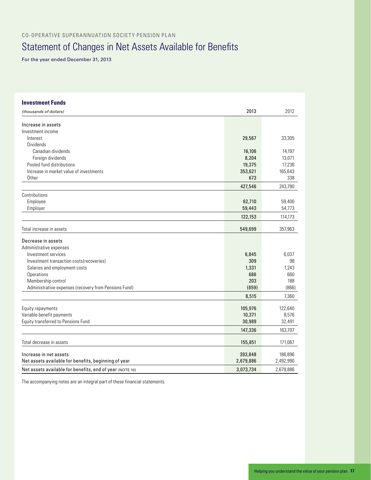CO-OPERATIVE SUPERANNUATION SOCIETY PENSION PLAN

### Statement of Changes in Net Assets Available for Benefits

For the year ended December 31, 2013

| <b>Investment Funds</b>                                  |           |           |
|----------------------------------------------------------|-----------|-----------|
| (thousands of dollars)                                   | 2013      | 2012      |
| Increase in assets                                       |           |           |
| Investment income                                        |           |           |
| Interest                                                 | 29,567    | 33,305    |
| Dividends                                                |           |           |
| Canadian dividends                                       | 16,106    | 14,197    |
| Foreign dividends                                        | 8,204     | 13,071    |
| Pooled fund distributions                                | 19,375    | 17,236    |
| Increase in market value of investments                  | 353,621   | 165,643   |
| Other                                                    | 673       | 338       |
|                                                          | 427,546   | 243,790   |
| Contributions                                            |           |           |
| Employee                                                 | 62,710    | 59,400    |
| Employer                                                 | 59,443    | 54,773    |
|                                                          | 122,153   | 114,173   |
| Total increase in assets                                 | 549,699   | 357,963   |
| Decrease in assets                                       |           |           |
| Administrative expenses                                  |           |           |
| Investment services                                      | 6,845     | 6,037     |
| Investment transaction costs(recoveries)                 | 309       | 98        |
| Salaries and employment costs                            | 1,331     | 1,243     |
| Operations                                               | 686       | 660       |
| Membership control                                       | 203       | 188       |
| Administrative expenses (recovery from Pensions Fund)    | (859)     | (866)     |
|                                                          | 8,515     | 7,360     |
| Equity repayments                                        | 105,976   | 122,640   |
| Variable benefit payments                                | 10,371    | 8,576     |
| Equity transferred to Pensions Fund                      | 30,989    | 32,491    |
|                                                          | 147,336   | 163,707   |
|                                                          |           |           |
| Total decrease in assets                                 | 155,851   | 171,067   |
| Increase in net assets                                   | 393,848   | 186,896   |
| Net assets available for benefits, beginning of year     | 2,679,886 | 2,492,990 |
| Net assets available for benefits, end of year (NOTE 10) | 3,073,734 | 2.679.886 |

The accompanying notes are an integral part of these financial statements.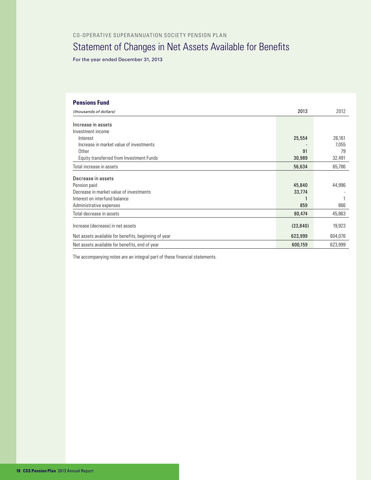CO-OPERATIVE SUPERANNUATION SOCIETY PENSION PLAN

### Statement of Changes in Net Assets Available for Benefits

For the year ended December 31, 2013

#### **Pensions Fund**

| (thousands of dollars)                               | 2013      | 2012    |
|------------------------------------------------------|-----------|---------|
|                                                      |           |         |
| Increase in assets                                   |           |         |
| Investment income                                    |           |         |
| Interest                                             | 25,554    | 26,161  |
| Increase in market value of investments              |           | 7,055   |
| Other                                                | 91        | 79      |
| Equity transferred from Investment Funds             | 30,989    | 32,491  |
| Total increase in assets                             | 56,634    | 65,786  |
| Decrease in assets                                   |           |         |
| Pension paid                                         | 45,840    | 44,996  |
|                                                      |           |         |
| Decrease in market value of investments              | 33,774    |         |
| Interest on interfund balance                        |           |         |
| Administrative expenses                              | 859       | 866     |
| Total decrease in assets                             | 80,474    | 45,863  |
| Increase (decrease) in net assets                    | (23, 840) | 19,923  |
|                                                      |           |         |
| Net assets available for benefits, beginning of year | 623,999   | 604,076 |
| Net assets available for benefits, end of year       | 600,159   | 623,999 |

The accompanying notes are an integral part of these financial statements.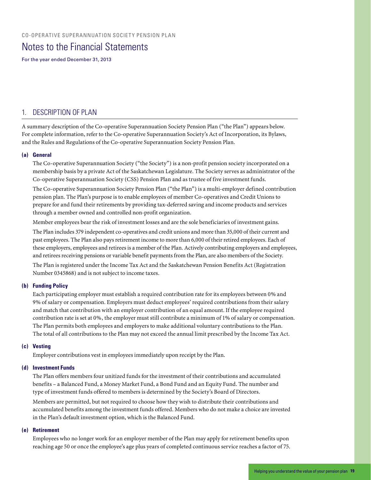### Notes to the Financial Statements

For the year ended December 31, 2013

#### 1. DESCRIPTION OF PLAN

A summary description of the Co-operative Superannuation Society Pension Plan ("the Plan") appears below. For complete information, refer to the Co-operative Superannuation Society's Act of Incorporation, its Bylaws, and the Rules and Regulations of the Co-operative Superannuation Society Pension Plan.

#### **(a) General**

The Co-operative Superannuation Society ("the Society") is a non-profit pension society incorporated on a membership basis by a private Act of the Saskatchewan Legislature. The Society serves as administrator of the Co-operative Superannuation Society (CSS) Pension Plan and as trustee of five investment funds.

The Co-operative Superannuation Society Pension Plan ("the Plan") is a multi-employer defined contribution pension plan. The Plan's purpose is to enable employees of member Co-operatives and Credit Unions to prepare for and fund their retirements by providing tax-deferred saving and income products and services through a member owned and controlled non-profit organization.

Member employees bear the risk of investment losses and are the sole beneficiaries of investment gains.

The Plan includes 379 independent co-operatives and credit unions and more than 35,000 of their current and past employees. The Plan also pays retirement income to more than 6,000 of their retired employees. Each of these employers, employees and retirees is a member of the Plan. Actively contributing employers and employees, and retirees receiving pensions or variable benefit payments from the Plan, are also members of the Society.

The Plan is registered under the Income Tax Act and the Saskatchewan Pension Benefits Act (Registration Number 0345868) and is not subject to income taxes.

#### **(b) Funding Policy**

Each participating employer must establish a required contribution rate for its employees between 0% and 9% of salary or compensation. Employers must deduct employees' required contributions from their salary and match that contribution with an employer contribution of an equal amount. If the employee required contribution rate is set at 0%, the employer must still contribute a minimum of 1% of salary or compensation. The Plan permits both employees and employers to make additional voluntary contributions to the Plan. The total of all contributions to the Plan may not exceed the annual limit prescribed by the Income Tax Act.

#### **(c) Vesting**

Employer contributions vest in employees immediately upon receipt by the Plan.

#### **(d) Investment Funds**

The Plan offers members four unitized funds for the investment of their contributions and accumulated benefits – a Balanced Fund, a Money Market Fund, a Bond Fund and an Equity Fund. The number and type of investment funds offered to members is determined by the Society's Board of Directors.

Members are permitted, but not required to choose how they wish to distribute their contributions and accumulated benefits among the investment funds offered. Members who do not make a choice are invested in the Plan's default investment option, which is the Balanced Fund.

#### **(e) Retirement**

Employees who no longer work for an employer member of the Plan may apply for retirement benefits upon reaching age 50 or once the employee's age plus years of completed continuous service reaches a factor of 75.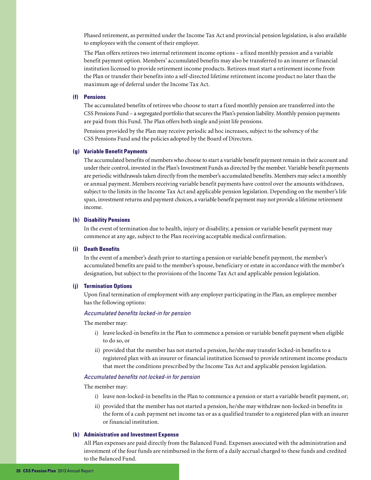Phased retirement, as permitted under the Income Tax Act and provincial pension legislation, is also available to employees with the consent of their employer.

The Plan offers retirees two internal retirement income options – a fixed monthly pension and a variable benefit payment option. Members' accumulated benefits may also be transferred to an insurer or financial institution licensed to provide retirement income products. Retirees must start a retirement income from the Plan or transfer their benefits into a self-directed lifetime retirement income product no later than the maximum age of deferral under the Income Tax Act.

#### **(f) Pensions**

The accumulated benefits of retirees who choose to start a fixed monthly pension are transferred into the CSS Pensions Fund – a segregated portfolio that secures the Plan's pension liability. Monthly pension payments are paid from this Fund. The Plan offers both single and joint life pensions.

Pensions provided by the Plan may receive periodic ad hoc increases, subject to the solvency of the CSS Pensions Fund and the policies adopted by the Board of Directors.

#### **(g) Variable Benefit Payments**

The accumulated benefits of members who choose to start a variable benefit payment remain in their account and under their control, invested in the Plan's Investment Funds as directed by the member. Variable benefit payments are periodic withdrawals taken directly from the member's accumulated benefits. Members may select a monthly or annual payment. Members receiving variable benefit payments have control over the amounts withdrawn, subject to the limits in the Income Tax Act and applicable pension legislation. Depending on the member's life span, investment returns and payment choices, a variable benefit payment may not provide a lifetime retirement income.

#### **(h) Disability Pensions**

In the event of termination due to health, injury or disability, a pension or variable benefit payment may commence at any age, subject to the Plan receiving acceptable medical confirmation.

#### **(i) Death Benefits**

In the event of a member's death prior to starting a pension or variable benefit payment, the member's accumulated benefits are paid to the member's spouse, beneficiary or estate in accordance with the member's designation, but subject to the provisions of the Income Tax Act and applicable pension legislation.

#### **(j) Termination Options**

Upon final termination of employment with any employer participating in the Plan, an employee member has the following options:

#### *Accumulated benefits locked-in for pension*

The member may:

- i) leave locked-in benefits in the Plan to commence a pension or variable benefit payment when eligible to do so, or
- ii) provided that the member has not started a pension, he/she may transfer locked-in benefits to a registered plan with an insurer or financial institution licensed to provide retirement income products that meet the conditions prescribed by the Income Tax Act and applicable pension legislation.

#### *Accumulated benefits not locked-in for pension*

The member may:

- i) leave non-locked-in benefits in the Plan to commence a pension or start a variable benefit payment, or;
- ii) provided that the member has not started a pension, he/she may withdraw non-locked-in benefits in the form of a cash payment net income tax or as a qualified transfer to a registered plan with an insurer or financial institution.

#### **(k) Administrative and Investment Expense**

All Plan expenses are paid directly from the Balanced Fund. Expenses associated with the administration and investment of the four funds are reimbursed in the form of a daily accrual charged to these funds and credited to the Balanced Fund.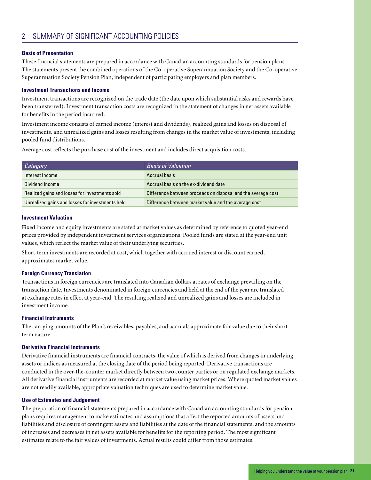#### 2. SUMMARY OF SIGNIFICANT ACCOUNTING POLICIES

#### **Basis of Presentation**

These financial statements are prepared in accordance with Canadian accounting standards for pension plans. The statements present the combined operations of the Co-operative Superannuation Society and the Co-operative Superannuation Society Pension Plan, independent of participating employers and plan members.

#### **Investment Transactions and Income**

Investment transactions are recognized on the trade date (the date upon which substantial risks and rewards have been transferred). Investment transaction costs are recognized in the statement of changes in net assets available for benefits in the period incurred.

Investment income consists of earned income (interest and dividends), realized gains and losses on disposal of investments, and unrealized gains and losses resulting from changes in the market value of investments, including pooled fund distributions.

Average cost reflects the purchase cost of the investment and includes direct acquisition costs.

| Category                                         | <b>Basis of Valuation</b>                                    |
|--------------------------------------------------|--------------------------------------------------------------|
| Interest Income                                  | <b>Accrual basis</b>                                         |
| Dividend Income                                  | Accrual basis on the ex-dividend date                        |
| Realized gains and losses for investments sold   | Difference between proceeds on disposal and the average cost |
| Unrealized gains and losses for investments held | Difference between market value and the average cost         |

#### **Investment Valuation**

Fixed income and equity investments are stated at market values as determined by reference to quoted year-end prices provided by independent investment services organizations. Pooled funds are stated at the year-end unit values, which reflect the market value of their underlying securities.

Short-term investments are recorded at cost, which together with accrued interest or discount earned, approximates market value.

#### **Foreign Currency Translation**

Transactions in foreign currencies are translated into Canadian dollars at rates of exchange prevailing on the transaction date. Investments denominated in foreign currencies and held at the end of the year are translated at exchange rates in effect at year-end. The resulting realized and unrealized gains and losses are included in investment income.

#### **Financial Instruments**

The carrying amounts of the Plan's receivables, payables, and accruals approximate fair value due to their shortterm nature.

#### **Derivative Financial Instruments**

Derivative financial instruments are financial contracts, the value of which is derived from changes in underlying assets or indices as measured at the closing date of the period being reported. Derivative transactions are conducted in the over-the-counter market directly between two counter parties or on regulated exchange markets. All derivative financial instruments are recorded at market value using market prices. Where quoted market values are not readily available, appropriate valuation techniques are used to determine market value.

#### **Use of Estimates and Judgement**

The preparation of financial statements prepared in accordance with Canadian accounting standards for pension plans requires management to make estimates and assumptions that affect the reported amounts of assets and liabilities and disclosure of contingent assets and liabilities at the date of the financial statements, and the amounts of increases and decreases in net assets available for benefits for the reporting period. The most significant estimates relate to the fair values of investments. Actual results could differ from those estimates.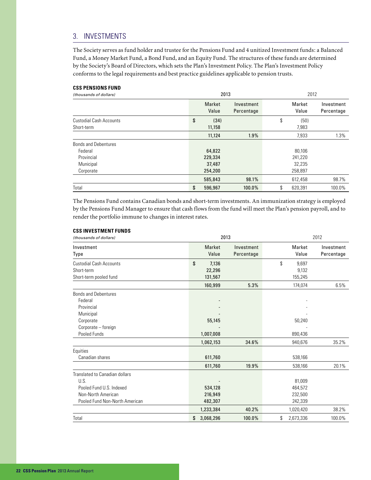#### 3. INVESTMENTS

The Society serves as fund holder and trustee for the Pensions Fund and 4 unitized Investment funds: a Balanced Fund, a Money Market Fund, a Bond Fund, and an Equity Fund. The structures of these funds are determined by the Society's Board of Directors, which sets the Plan's Investment Policy. The Plan's Investment Policy conforms to the legal requirements and best practice guidelines applicable to pension trusts.

#### **CSS PENSIONS FUND**

| (thousands of dollars)         | 2013                   |                          | 2012 |                 |                          |  |
|--------------------------------|------------------------|--------------------------|------|-----------------|--------------------------|--|
|                                | <b>Market</b><br>Value | Investment<br>Percentage |      | Market<br>Value | Investment<br>Percentage |  |
| <b>Custodial Cash Accounts</b> | \$<br>(34)             |                          | \$   | (50)            |                          |  |
| Short-term                     | 11,158                 |                          |      | 7,983           |                          |  |
|                                | 11,124                 | 1.9%                     |      | 7,933           | 1.3%                     |  |
| <b>Bonds and Debentures</b>    |                        |                          |      |                 |                          |  |
| Federal                        | 64,822                 |                          |      | 80,106          |                          |  |
| Provincial                     | 229,334                |                          |      | 241,220         |                          |  |
| Municipal                      | 37,487                 |                          |      | 32,235          |                          |  |
| Corporate                      | 254,200                |                          |      | 258,897         |                          |  |
|                                | 585,843                | 98.1%                    |      | 612,458         | 98.7%                    |  |
| Total                          | \$<br>596,967          | 100.0%                   | \$   | 620.391         | 100.0%                   |  |

The Pensions Fund contains Canadian bonds and short-term investments. An immunization strategy is employed by the Pensions Fund Manager to ensure that cash flows from the fund will meet the Plan's pension payroll, and to render the portfolio immune to changes in interest rates.

#### **CSS INVESTMENT FUNDS**

| (thousands of dollars)                                                                                                     | 2013                             |                          |                                         | 2012                     |
|----------------------------------------------------------------------------------------------------------------------------|----------------------------------|--------------------------|-----------------------------------------|--------------------------|
| Investment<br>Type                                                                                                         | <b>Market</b><br>Value           | Investment<br>Percentage | Market<br>Value                         | Investment<br>Percentage |
| <b>Custodial Cash Accounts</b><br>Short-term<br>Short-term pooled fund                                                     | \$<br>7,136<br>22,296<br>131,567 |                          | \$<br>9,697<br>9,132<br>155,245         |                          |
|                                                                                                                            | 160,999                          | 5.3%                     | 174,074                                 | 6.5%                     |
| <b>Bonds and Debentures</b><br>Federal<br>Provincial<br>Municipal<br>Corporate<br>Corporate - foreign<br>Pooled Funds      | 55,145<br>1,007,008              |                          | 50,240<br>890,436                       |                          |
|                                                                                                                            | 1,062,153                        | 34.6%                    | 940,676                                 | 35.2%                    |
| Equities<br>Canadian shares                                                                                                | 611,760<br>611,760               | 19.9%                    | 538,166<br>538,166                      | 20.1%                    |
| Translated to Canadian dollars<br>U.S.<br>Pooled Fund U.S. Indexed<br>Non-North American<br>Pooled Fund Non-North American | 534,128<br>216,949<br>482,307    |                          | 81,009<br>464,572<br>232,500<br>242,339 |                          |
|                                                                                                                            | 1,233,384                        | 40.2%                    | 1,020,420                               | 38.2%                    |
| Total                                                                                                                      | \$<br>3,068,296                  | 100.0%                   | \$<br>2,673,336                         | 100.0%                   |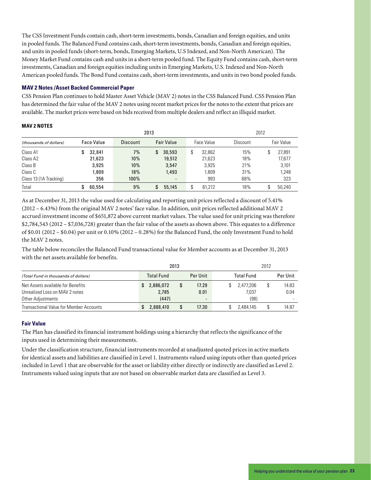The CSS Investment Funds contain cash, short-term investments, bonds, Canadian and foreign equities, and units in pooled funds. The Balanced Fund contains cash, short-term investments, bonds, Canadian and foreign equities, and units in pooled funds (short-term, bonds, Emerging Markets, U.S Indexed, and Non-North American). The Money Market Fund contains cash and units in a short-term pooled fund. The Equity Fund contains cash, short-term investments, Canadian and foreign equities including units in Emerging Markets, U.S. Indexed and Non-North American pooled funds. The Bond Fund contains cash, short-term investments, and units in two bond pooled funds.

#### **MAV 2 Notes /Asset Backed Commercial Paper**

CSS Pension Plan continues to hold Master Asset Vehicle (MAV 2) notes in the CSS Balanced Fund. CSS Pension Plan has determined the fair value of the MAV 2 notes using recent market prices for the notes to the extent that prices are available. The market prices were based on bids received from multiple dealers and reflect an illiquid market.

#### **MAV 2 NOTES**

|                        |                   |                 |                          | 2012         |                 |                   |
|------------------------|-------------------|-----------------|--------------------------|--------------|-----------------|-------------------|
| (thousands of dollars) | <b>Face Value</b> | <b>Discount</b> | <b>Fair Value</b>        | Face Value   | <b>Discount</b> | <b>Fair Value</b> |
| Class A1               | 32.841            | 7%              | 30,593<br>S.             | 32.862<br>\$ | 15%             | 27,891            |
| Class A2               | 21,623            | 10%             | 19,512                   | 21,623       | 18%             | 17,677            |
| Class B                | 3,925             | 10%             | 3,547                    | 3.925        | 21%             | 3,101             |
| Class C                | 1,809             | 18%             | 1.493                    | 1,809        | 31%             | 1,248             |
| Class 13 (1A Tracking) | 356               | 100%            | $\overline{\phantom{a}}$ | 993          | 68%             | 323               |
| Total                  | 60.554            | 9%              | 55,145<br>S              | 61.212<br>Φ  | 18%             | 50.240            |

As at December 31, 2013 the value used for calculating and reporting unit prices reflected a discount of 5.41% (2012 – 6.43%) from the original MAV 2 notes' face value. In addition, unit prices reflected additional MAV 2 accrued investment income of \$651,872 above current market values. The value used for unit pricing was therefore \$2,784,543 (2012 – \$7,036,728) greater than the fair value of the assets as shown above. This equates to a difference of \$0.01 (2012 – \$0.04) per unit or 0.10% (2012 – 0.28%) for the Balanced Fund, the only Investment Fund to hold the MAV 2 notes.

The table below reconciles the Balanced Fund transactional value for Member accounts as at December 31, 2013 with the net assets available for benefits.

|                                                | 2013              |                          | 2012              |  |          |  |
|------------------------------------------------|-------------------|--------------------------|-------------------|--|----------|--|
| (Total Fund in thousands of dollars)           | <b>Total Fund</b> | Per Unit                 | <b>Total Fund</b> |  | Per Unit |  |
| Net Assets available for Benefits              | 2,886,072         | 17.29                    | 2.477.206         |  | 14.83    |  |
| Unrealized Loss on MAV 2 notes                 | 2.785             | 0.01                     | 7,037             |  | 0.04     |  |
| Other Adjustments                              | (447)             | $\overline{\phantom{a}}$ | (98)              |  |          |  |
| <b>Transactional Value for Member Accounts</b> | 2,888,410         | 17.30                    | 2.484.145         |  | 14.87    |  |

#### **Fair Value**

The Plan has classified its financial instrument holdings using a hierarchy that reflects the significance of the inputs used in determining their measurements.

Under the classification structure, financial instruments recorded at unadjusted quoted prices in active markets for identical assets and liabilities are classified in Level 1. Instruments valued using inputs other than quoted prices included in Level 1 that are observable for the asset or liability either directly or indirectly are classified as Level 2. Instruments valued using inputs that are not based on observable market data are classified as Level 3.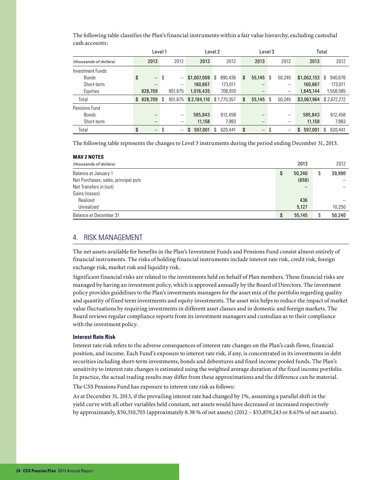|                        | Level 1                        |    |                        | Level 2       |  | Level 3       |    |                          | Total |                   |               |    |             |
|------------------------|--------------------------------|----|------------------------|---------------|--|---------------|----|--------------------------|-------|-------------------|---------------|----|-------------|
| (thousands of dollars) | 2013                           |    | 2012                   | 2013          |  | 2012          |    | 2013                     |       | 2012              | 2013          |    | 2012        |
| Investment Funds       |                                |    |                        |               |  |               |    |                          |       |                   |               |    |             |
| Bonds                  | \$<br>$\overline{\phantom{m}}$ | S  |                        | \$1,007,008   |  | 890.436<br>\$ | \$ | 55,145                   | -S    | 50,240            | \$1,062,153   | \$ | 940,676     |
| Short-term             |                                |    |                        | 160,667       |  | 173,011       |    |                          |       |                   | 160,667       |    | 173,011     |
| Equities               | 828,709                        |    | 851.675                | 1,016,435     |  | 706,910       |    |                          |       | $\qquad \qquad -$ | 1,845,144     |    | 1,558,585   |
| Total                  | \$828,709                      | -S | 851.675                | \$2,184,110   |  | \$1,770,357   | \$ | 55,145                   | - \$  | 50.240            | \$3,067,964   |    | \$2,672,272 |
| Pensions Fund          |                                |    |                        |               |  |               |    |                          |       |                   |               |    |             |
| <b>Bonds</b>           |                                |    | $\qquad \qquad \qquad$ | 585,843       |  | 612.458       |    |                          |       |                   | 585,843       |    | 612,458     |
| Short-term             |                                |    |                        | 11,158        |  | 7,983         |    |                          |       |                   | 11,158        |    | 7,983       |
| Total                  | \$<br>$\overline{\phantom{m}}$ | S  |                        | 597,001<br>\$ |  | 620.441<br>\$ | \$ | $\overline{\phantom{m}}$ | S     | $\qquad \qquad$   | 597,001<br>\$ | \$ | 620.441     |

The following table classifies the Plan's financial instruments within a fair value hierarchy, excluding custodial cash accounts:

The following table represents the changes to Level 3 instruments during the period ending December 31, 2013.

| <b>MAV 2 NOTES</b>                   |              |    |        |
|--------------------------------------|--------------|----|--------|
| (thousands of dollars)               | 2013         |    | 2012   |
| Balance at January 1                 | \$<br>50,240 | \$ | 39,990 |
| Net Purchases, sales, principal pyts | (658)        |    |        |
| Net Transfers in (out)               | -            |    |        |
| Gains (losses)                       |              |    |        |
| Realized                             | 436          |    |        |
| Unrealized                           | 5,127        |    | 10,250 |
| <b>Balance at December 31</b>        | \$<br>55,145 | S  | 50,240 |

#### 4. RISK MANAGEMENT

The net assets available for benefits in the Plan's Investment Funds and Pensions Fund consist almost entirely of financial instruments. The risks of holding financial instruments include interest rate risk, credit risk, foreign exchange risk, market risk and liquidity risk.

Significant financial risks are related to the investments held on behalf of Plan members. These financial risks are managed by having an investment policy, which is approved annually by the Board of Directors. The investment policy provides guidelines to the Plan's investments managers for the asset mix of the portfolio regarding quality and quantity of fixed term investments and equity investments. The asset mix helps to reduce the impact of market value fluctuations by requiring investments in different asset classes and in domestic and foreign markets. The Board reviews regular compliance reports from its investment managers and custodian as to their compliance with the investment policy.

#### **Interest Rate Risk**

Interest rate risk refers to the adverse consequences of interest rate changes on the Plan's cash flows, financial position, and income. Each Fund's exposure to interest rate risk, if any, is concentrated in its investments in debt securities including short-term investments, bonds and debentures and fixed income pooled funds. The Plan's sensitivity to interest rate changes is estimated using the weighted average duration of the fixed income portfolio. In practice, the actual trading results may differ from these approximations and the difference can be material.

The CSS Pensions Fund has exposure to interest rate risk as follows:

As at December 31, 2013, if the prevailing interest rate had changed by 1%, assuming a parallel shift in the yield curve with all other variables held constant, net assets would have decreased or increased respectively by approximately, \$50,310,705 (approximately 8.38 % of net assets) (2012 – \$53,859,243 or 8.63% of net assets).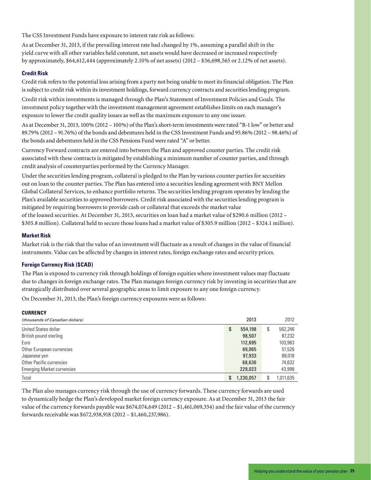The CSS Investment Funds have exposure to interest rate risk as follows:

As at December 31, 2013, if the prevailing interest rate had changed by 1%, assuming a parallel shift in the yield curve with all other variables held constant, net assets would have decreased or increased respectively by approximately, \$64,612,444 (approximately 2.10% of net assets) (2012 – \$56,698,565 or 2.12% of net assets).

#### **Credit Risk**

Credit risk refers to the potential loss arising from a party not being unable to meet its financial obligation. The Plan is subject to credit risk within its investment holdings, forward currency contracts and securities lending program.

Credit risk within investments is managed through the Plan's Statement of Investment Policies and Goals. The investment policy together with the investment management agreement establishes limits on each manager's exposure to lower the credit quality issues as well as the maximum exposure to any one issuer.

As at December 31, 2013, 100% (2012 – 100%) of the Plan's short-term investments were rated "R-1 low" or better and 89.79% (2012 – 91.76%) of the bonds and debentures held in the CSS Investment Funds and 95.86% (2012 – 98.46%) of the bonds and debentures held in the CSS Pensions Fund were rated "A" or better.

Currency Forward contracts are entered into between the Plan and approved counter parties. The credit risk associated with these contracts is mitigated by establishing a minimum number of counter parties, and through credit analysis of counterparties performed by the Currency Manager.

Under the securities lending program, collateral is pledged to the Plan by various counter parties for securities out on loan to the counter parties. The Plan has entered into a securities lending agreement with BNY Mellon Global Collateral Services, to enhance portfolio returns. The securities lending program operates by lending the Plan's available securities to approved borrowers. Credit risk associated with the securities lending program is mitigated by requiring borrowers to provide cash or collateral that exceeds the market value of the loaned securities. At December 31, 2013, securities on loan had a market value of \$290.6 million (2012 – \$305.8 million). Collateral held to secure those loans had a market value of \$305.9 million (2012 – \$324.1 million).

#### **Market Risk**

Market risk is the risk that the value of an investment will fluctuate as a result of changes in the value of financial instruments. Value can be affected by changes in interest rates, foreign exchange rates and security prices.

#### **Foreign Currency Risk (\$CAD)**

The Plan is exposed to currency risk through holdings of foreign equities where investment values may fluctuate due to changes in foreign exchange rates. The Plan manages foreign currency risk by investing in securities that are strategically distributed over several geographic areas to limit exposure to any one foreign currency.

On December 31, 2013, the Plan's foreign currency exposures were as follows:

| <b>CURRENCY</b>                   |    |           |                 |
|-----------------------------------|----|-----------|-----------------|
| (thousands of Canadian dollars)   |    | 2013      | 2012            |
| United States dollar              | \$ | 554,198   | \$<br>562,246   |
| British pound sterling            |    | 98,507    | 87,232          |
| Euro                              |    | 112,695   | 103,983         |
| Other European currencies         |    | 69,065    | 51,526          |
| Japanese ven                      |    | 97,933    | 88,018          |
| Other Pacific currencies          |    | 68,636    | 74,632          |
| <b>Emerging Market currencies</b> |    | 229,023   | 43,998          |
| Total                             | S  | 1,230,057 | \$<br>1,011,635 |

The Plan also manages currency risk through the use of currency forwards. These currency forwards are used to dynamically hedge the Plan's developed market foreign currency exposure. As at December 31, 2013 the fair value of the currency forwards payable was \$674,074,649 (2012 – \$1,461,069,334) and the fair value of the currency forwards receivable was \$672,938,918 (2012 – \$1,460,237,986).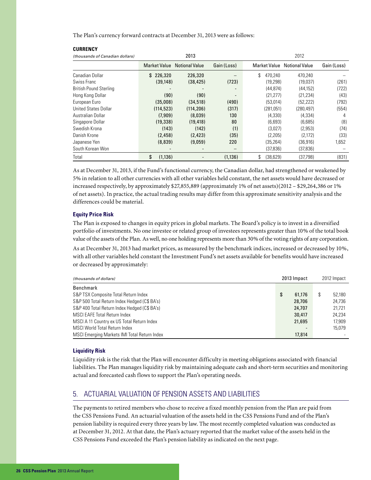The Plan's currency forward contracts at December 31, 2013 were as follows:

| (thousands of Canadian dollars) |                         | 2013                  |                          | 2012                |                       |             |  |  |
|---------------------------------|-------------------------|-----------------------|--------------------------|---------------------|-----------------------|-------------|--|--|
|                                 | <b>Market Value</b>     | <b>Notional Value</b> | Gain (Loss)              | <b>Market Value</b> | <b>Notional Value</b> | Gain (Loss) |  |  |
| Canadian Dollar                 | 226,320<br>$\mathbf{s}$ | 226,320               |                          | \$<br>470.240       | 470.240               |             |  |  |
| Swiss Franc                     | (39, 148)               | (38, 425)             | (723)                    | (19.298)            | (19,037)              | (261)       |  |  |
| <b>British Pound Sterling</b>   |                         |                       | $\overline{\phantom{a}}$ | (44, 874)           | (44, 152)             | (722)       |  |  |
| Hong Kong Dollar                | (90)                    | (90)                  | ٠                        | (21.277)            | (21, 234)             | (43)        |  |  |
| European Euro                   | (35,008)                | (34, 518)             | (490)                    | (53,014)            | (52, 222)             | (792)       |  |  |
| <b>United States Dollar</b>     | (114, 523)              | (114, 206)            | (317)                    | (281,051)           | (280, 497)            | (554)       |  |  |
| Australian Dollar               | (7,909)                 | (8,039)               | 130                      | (4,330)             | (4, 334)              | 4           |  |  |
| Singapore Dollar                | (19, 338)               | (19, 418)             | 80                       | (6,693)             | (6,685)               | (8)         |  |  |
| Swedish Krona                   | (143)                   | (142)                 | (1)                      | (3,027)             | (2,953)               | (74)        |  |  |
| Danish Krone                    | (2, 458)                | (2, 423)              | (35)                     | (2,205)             | (2,172)               | (33)        |  |  |
| Japanese Yen                    | (8,839)                 | (9.059)               | 220                      | (35.264)            | (36.916)              | 1.652       |  |  |
| South Korean Won                |                         |                       | —                        | (37,836)            | (37, 836)             |             |  |  |
| Total                           | \$<br>(1, 136)          |                       | (1, 136)                 | (38, 629)<br>\$     | (37.798)              | (831)       |  |  |

As at December 31, 2013, if the Fund's functional currency, the Canadian dollar, had strengthened or weakened by 5% in relation to all other currencies with all other variables held constant, the net assets would have decreased or increased respectively, by approximately \$27,855,889 (approximately 1% of net assets)(2012 – \$29,264,386 or 1% of net assets). In practice, the actual trading results may differ from this approximate sensitivity analysis and the differences could be material.

#### **Equity Price Risk**

**CURRENCY**

The Plan is exposed to changes in equity prices in global markets. The Board's policy is to invest in a diversified portfolio of investments. No one investee or related group of investees represents greater than 10% of the total book value of the assets of the Plan. As well, no one holding represents more than 30% of the voting rights of any corporation.

As at December 31, 2013 had market prices, as measured by the benchmark indices, increased or decreased by 10%, with all other variables held constant the Investment Fund's net assets available for benefits would have increased or decreased by approximately:

| (thousands of dollars)                       | 2013 Impact |        | 2012 Impact  |
|----------------------------------------------|-------------|--------|--------------|
| Benchmark                                    |             |        |              |
| S&P TSX Composite Total Return Index         | \$          | 61.176 | \$<br>52.180 |
| S&P 500 Total Return Index Hedged (C\$ BA's) |             | 28,706 | 24,736       |
| S&P 400 Total Return Index Hedged (C\$ BA's) |             | 24,707 | 21,721       |
| <b>MSCI EAFE Total Return Index</b>          |             | 30,417 | 24.234       |
| MSCI A 11 Country ex US Total Return Index   |             | 21,695 | 17.909       |
| <b>MSCI World Total Return Index</b>         |             |        | 15.079       |
| MSCI Emerging Markets IMI Total Return Index |             | 17,814 |              |

#### **Liquidity Risk**

Liquidity risk is the risk that the Plan will encounter difficulty in meeting obligations associated with financial liabilities. The Plan manages liquidity risk by maintaining adequate cash and short-term securities and monitoring actual and forecasted cash flows to support the Plan's operating needs.

#### 5. ACTUARIAL VALUATION OF PENSION ASSETS AND LIABILITIES

The payments to retired members who chose to receive a fixed monthly pension from the Plan are paid from the CSS Pensions Fund. An actuarial valuation of the assets held in the CSS Pensions Fund and of the Plan's pension liability is required every three years by law. The most recently completed valuation was conducted as at December 31, 2012. At that date, the Plan's actuary reported that the market value of the assets held in the CSS Pensions Fund exceeded the Plan's pension liability as indicated on the next page.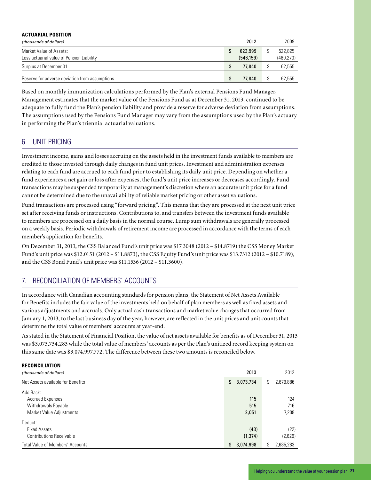| <b>ACTUARIAL POSITION</b>                      |   |           |            |
|------------------------------------------------|---|-----------|------------|
| (thousands of dollars)                         |   | 2012      | 2009       |
| Market Value of Assets:                        |   | 623,999   | 522.825    |
| Less actuarial value of Pension Liability      |   | (546.159) | (460, 270) |
| Surplus at December 31                         | S | 77,840    | 62,555     |
| Reserve for adverse deviation from assumptions | S | 77,840    | 62.555     |

Based on monthly immunization calculations performed by the Plan's external Pensions Fund Manager, Management estimates that the market value of the Pensions Fund as at December 31, 2013, continued to be adequate to fully fund the Plan's pension liability and provide a reserve for adverse deviation from assumptions. The assumptions used by the Pensions Fund Manager may vary from the assumptions used by the Plan's actuary in performing the Plan's triennial actuarial valuations.

#### 6. UNIT PRICING

**RECONCILIATION**

Investment income, gains and losses accruing on the assets held in the investment funds available to members are credited to those invested through daily changes in fund unit prices. Investment and administration expenses relating to each fund are accrued to each fund prior to establishing its daily unit price. Depending on whether a fund experiences a net gain or loss after expenses, the fund's unit price increases or decreases accordingly. Fund transactions may be suspended temporarily at management's discretion where an accurate unit price for a fund cannot be determined due to the unavailability of reliable market pricing or other asset valuations.

Fund transactions are processed using "forward pricing". This means that they are processed at the next unit price set after receiving funds or instructions. Contributions to, and transfers between the investment funds available to members are processed on a daily basis in the normal course. Lump sum withdrawals are generally processed on a weekly basis. Periodic withdrawals of retirement income are processed in accordance with the terms of each member's application for benefits.

On December 31, 2013, the CSS Balanced Fund's unit price was \$17.3048 (2012 – \$14.8719) the CSS Money Market Fund's unit price was \$12.0151 (2012 – \$11.8873), the CSS Equity Fund's unit price was \$13.7312 (2012 – \$10.7189), and the CSS Bond Fund's unit price was \$11.1536 (2012 – \$11.3600).

#### 7. RECONCILIATION OF MEMBERS' ACCOUNTS

In accordance with Canadian accounting standards for pension plans, the Statement of Net Assets Available for Benefits includes the fair value of the investments held on behalf of plan members as well as fixed assets and various adjustments and accruals. Only actual cash transactions and market value changes that occurred from January 1, 2013, to the last business day of the year, however, are reflected in the unit prices and unit counts that determine the total value of members' accounts at year-end.

As stated in the Statement of Financial Position, the value of net assets available for benefits as of December 31, 2013 was \$3,073,734,283 while the total value of members' accounts as per the Plan's unitized record keeping system on this same date was \$3,074,997,772. The difference between these two amounts is reconciled below.

| KELUNLILIAIIUN                          |                 |                 |
|-----------------------------------------|-----------------|-----------------|
| (thousands of dollars)                  | 2013            | 2012            |
| Net Assets available for Benefits       | 3,073,734<br>S. | 2,679,886<br>\$ |
| Add Back:                               |                 |                 |
| <b>Accrued Expenses</b>                 | 115             | 124             |
| Withdrawals Payable                     | 515             | 716             |
| Market Value Adjustments                | 2,051           | 7,208           |
| Deduct:                                 |                 |                 |
| <b>Fixed Assets</b>                     | (43)            | (22)            |
| <b>Contributions Receivable</b>         | (1, 374)        | (2,629)         |
| <b>Total Value of Members' Accounts</b> | 3,074,998<br>S. | 2,685,283<br>\$ |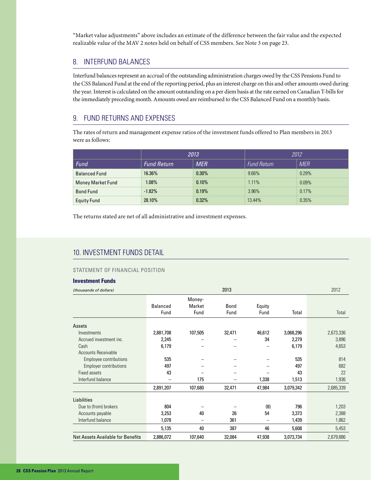"Market value adjustments" above includes an estimate of the difference between the fair value and the expected realizable value of the MAV 2 notes held on behalf of CSS members. See Note 3 on page 23.

#### 8. INTERFUND BALANCES

Interfund balances represent an accrual of the outstanding administration charges owed by the CSS Pensions Fund to the CSS Balanced Fund at the end of the reporting period, plus an interest charge on this and other amounts owed during the year. Interest is calculated on the amount outstanding on a per diem basis at the rate earned on Canadian T-bills for the immediately preceding month. Amounts owed are reimbursed to the CSS Balanced Fund on a monthly basis.

#### 9. FUND RETURNS AND EXPENSES

The rates of return and management expense ratios of the investment funds offered to Plan members in 2013 were as follows:

|                          | 2013               |            | 2012               |            |  |
|--------------------------|--------------------|------------|--------------------|------------|--|
| Fund                     | <b>Fund Return</b> | <b>MER</b> | <b>Fund Return</b> | <b>MER</b> |  |
| <b>Balanced Fund</b>     | 16.36%             | 0.30%      | 9.66%              | 0.29%      |  |
| <b>Money Market Fund</b> | 1.08%              | 0.10%      | 1.11%              | 0.09%      |  |
| <b>Bond Fund</b>         | $-1.82%$           | 0.19%      | 3.96%              | 0.17%      |  |
| <b>Equity Fund</b>       | 28.10%             | 0.32%      | 13.44%             | 0.35%      |  |

The returns stated are net of all administrative and investment expenses.

#### 10. INVESTMENT FUNDS DETAIL

#### STATEMENT OF FINANCIAL POSITION

#### **Investment Funds**

| (thousands of dollars)                   | 2013            |                  |             |        |           | 2012      |
|------------------------------------------|-----------------|------------------|-------------|--------|-----------|-----------|
|                                          | <b>Balanced</b> | Money-<br>Market | <b>Bond</b> | Equity |           |           |
|                                          | Fund            | Fund             | Fund        | Fund   | Total     | Total     |
| Assets                                   |                 |                  |             |        |           |           |
| Investments                              | 2,881,708       | 107,505          | 32,471      | 46,612 | 3,068,296 | 2,673,336 |
| Accrued investment inc.                  | 2,245           |                  |             | 34     | 2,279     | 3,896     |
| Cash                                     | 6,179           |                  |             |        | 6,179     | 4,653     |
| <b>Accounts Receivable</b>               |                 |                  |             |        |           |           |
| Employee contributions                   | 535             |                  |             |        | 535       | 814       |
| <b>Employer contributions</b>            | 497             |                  |             |        | 497       | 682       |
| Fixed assets                             | 43              |                  |             |        | 43        | 22        |
| Interfund balance                        |                 | 175              |             | 1,338  | 1,513     | 1,936     |
|                                          | 2,891,207       | 107,680          | 32,471      | 47,984 | 3,079,342 | 2,685,339 |
| <b>Liabilities</b>                       |                 |                  |             |        |           |           |
| Due to (from) brokers                    | 804             |                  |             | (8)    | 796       | 1,203     |
| Accounts payable                         | 3,253           | 40               | 26          | 54     | 3,373     | 2,388     |
| Interfund balance                        | 1,078           | -                | 361         |        | 1,439     | 1,862     |
|                                          | 5,135           | 40               | 387         | 46     | 5,608     | 5,453     |
| <b>Net Assets Available for Benefits</b> | 2,886,072       | 107,640          | 32,084      | 47,938 | 3,073,734 | 2,679,886 |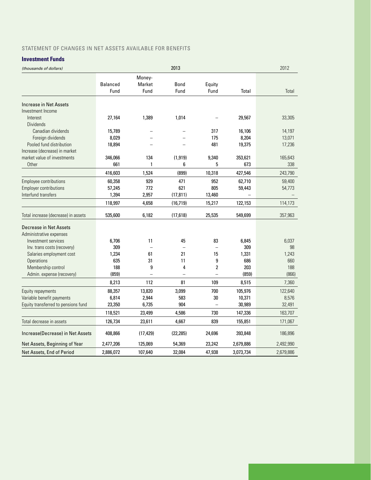#### STATEMENT OF CHANGES IN NET ASSETS AVAILABLE FOR BENEFITS

#### **Investment Funds**

| (thousands of dollars)              |                 |              | 2013        |                |           | 2012      |
|-------------------------------------|-----------------|--------------|-------------|----------------|-----------|-----------|
|                                     |                 | Money-       |             |                |           |           |
|                                     | <b>Balanced</b> | Market       | <b>Bond</b> | Equity         |           |           |
|                                     | Fund            | Fund         | Fund        | Fund           | Total     | Total     |
| Increase in Net Assets              |                 |              |             |                |           |           |
| Investment Income                   |                 |              |             |                |           |           |
| Interest                            | 27,164          | 1,389        | 1,014       |                | 29,567    | 33,305    |
| <b>Dividends</b>                    |                 |              |             |                |           |           |
| Canadian dividends                  | 15,789          |              |             | 317            | 16,106    | 14,197    |
| Foreign dividends                   | 8,029           |              |             | 175            | 8,204     | 13,071    |
| Pooled fund distribution            | 18,894          |              |             | 481            | 19,375    | 17,236    |
| Increase (decrease) in market       |                 |              |             |                |           |           |
| market value of investments         | 346,066         | 134          | (1, 919)    | 9,340          | 353,621   | 165,643   |
| Other                               | 661             | $\mathbf{1}$ | 6           | 5              | 673       | 338       |
|                                     | 416,603         | 1,524        | (899)       | 10,318         | 427,546   | 243,790   |
| Employee contributions              | 60,358          | 929          | 471         | 952            | 62,710    | 59,400    |
| <b>Employer contributions</b>       | 57,245          | 772          | 621         | 805            | 59,443    | 54,773    |
| Interfund transfers                 | 1,394           | 2,957        | (17, 811)   | 13,460         |           |           |
|                                     | 118,997         | 4,658        | (16, 719)   | 15,217         | 122,153   | 114,173   |
| Total increase (decrease) in assets | 535,600         | 6,182        | (17, 618)   | 25,535         | 549,699   | 357,963   |
| Decrease in Net Assets              |                 |              |             |                |           |           |
| Administrative expenses             |                 |              |             |                |           |           |
| Investment services                 | 6,706           | 11           | 45          | 83             | 6,845     | 6,037     |
| Inv. trans costs (recovery)         | 309             |              |             |                | 309       | 98        |
| Salaries employment cost            | 1,234           | 61           | 21          | 15             | 1,331     | 1,243     |
| <b>Operations</b>                   | 635             | 31           | 11          | 9              | 686       | 660       |
| Membership control                  | 188             | 9            | 4           | $\overline{2}$ | 203       | 188       |
| Admin. expense (recovery)           | (859)           | L.           | L.          | L.             | (859)     | (866)     |
|                                     | 8,213           | 112          | 81          | 109            | 8,515     | 7,360     |
| Equity repayments                   | 88,357          | 13,820       | 3,099       | 700            | 105,976   | 122,640   |
| Variable benefit payments           | 6,814           | 2,944        | 583         | 30             | 10,371    | 8,576     |
| Equity transferred to pensions fund | 23,350          | 6,735        | 904         | $\overline{a}$ | 30,989    | 32,491    |
|                                     | 118,521         | 23,499       | 4,586       | 730            | 147,336   | 163,707   |
| Total decrease in assets            | 126,734         | 23,611       | 4,667       | 839            | 155,851   | 171,067   |
| Increase(Decrease) in Net Assets    | 408,866         | (17, 429)    | (22, 285)   | 24,696         | 393,848   | 186,896   |
| Net Assets, Beginning of Year       | 2,477,206       | 125,069      | 54,369      | 23,242         | 2,679,886 | 2,492,990 |
| Net Assets, End of Period           | 2,886,072       | 107,640      | 32,084      | 47,938         | 3,073,734 | 2,679,886 |